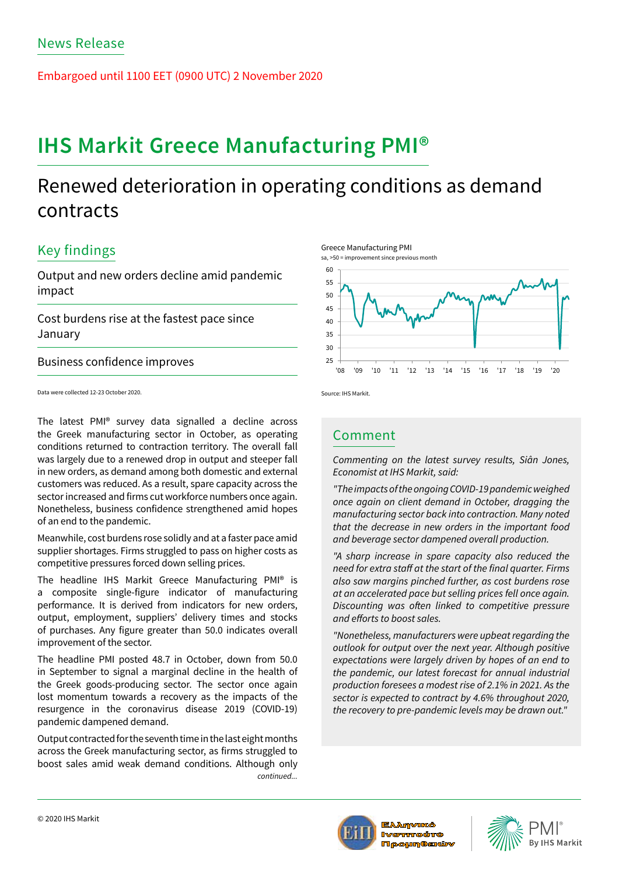Embargoed until 1100 EET (0900 UTC) 2 November 2020

# **IHS Markit Greece Manufacturing PMI®**

## Renewed deterioration in operating conditions as demand contracts

## Key findings

Output and new orders decline amid pandemic impact

Cost burdens rise at the fastest pace since January

Business confidence improves

Data were collected 12-23 October 2020.

The latest PMI® survey data signalled a decline across the Greek manufacturing sector in October, as operating conditions returned to contraction territory. The overall fall was largely due to a renewed drop in output and steeper fall in new orders, as demand among both domestic and external customers was reduced. As a result, spare capacity across the sector increased and firms cut workforce numbers once again. Nonetheless, business confidence strengthened amid hopes of an end to the pandemic.

Meanwhile, cost burdens rose solidly and at a faster pace amid supplier shortages. Firms struggled to pass on higher costs as competitive pressures forced down selling prices.

The headline IHS Markit Greece Manufacturing PMI® is a composite single-figure indicator of manufacturing performance. It is derived from indicators for new orders, output, employment, suppliers' delivery times and stocks of purchases. Any figure greater than 50.0 indicates overall improvement of the sector.

The headline PMI posted 48.7 in October, down from 50.0 in September to signal a marginal decline in the health of the Greek goods-producing sector. The sector once again lost momentum towards a recovery as the impacts of the resurgence in the coronavirus disease 2019 (COVID-19) pandemic dampened demand.

Output contracted for the seventh time in the last eight months across the Greek manufacturing sector, as firms struggled to boost sales amid weak demand conditions. Although only *continued...*



Source: IHS Markit.

### Comment

*Commenting on the latest survey results, Siân Jones, Economist at IHS Markit, said:* 

*"The impacts of the ongoing COVID-19 pandemic weighed once again on client demand in October, dragging the manufacturing sector back into contraction. Many noted that the decrease in new orders in the important food and beverage sector dampened overall production.* 

*"A sharp increase in spare capacity also reduced the*  need for extra staff at the start of the final quarter. Firms *also saw margins pinched further, as cost burdens rose at an accelerated pace but selling prices fell once again.*  Discounting was often linked to competitive pressure and efforts to boost sales.

*"Nonetheless, manufacturers were upbeat regarding the outlook for output over the next year. Although positive expectations were largely driven by hopes of an end to the pandemic, our latest forecast for annual industrial production foresees a modest rise of 2.1% in 2021. As the sector is expected to contract by 4.6% throughout 2020, the recovery to pre-pandemic levels may be drawn out."*



Ελληνικό **IVOTHTOÚTO Moounesiúv**